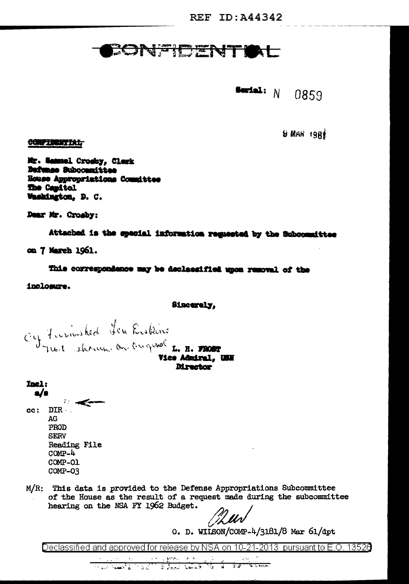## BONETHTT  $\blacksquare$

Serial:  $N$ 0859

 $9$  MAR  $19R<sub>1</sub>$ 

Mr. Samuel Crosby, Clerk Defunse Subcommittee Ecuse Appropriations Committee The Capitol Washington, D. C.

Dear Mr. Crosby:

CONFIDENTIAL

Attached is the special information requested by the Subcommittee

on 7 March 1961.

This correspondence may be declassified upon removal of the

inclosure.

Sincerely.

C'est france de la finistence de la FIROST

**Director** 

Inel:  $\mathbf{a}/\mathbf{s}$  $\overline{\phantom{a}}$ cc: DIR. AG PROD **SERV** Reading File  $COMP-4$ COMP-01 COMP-03

 $M/R$ : This data is provided to the Defense Appropriations Subcommittee of the House as the result of a request made during the subcommittee hearing on the NSA FY 1962 Budget.

*<u>Muv</u>* 

O. D. WILSON/COMP-4/3181/8 Mar  $61/dpt$ 

Declassified and approved for release by NSA on 10-21-2013 pursuant to E.O. 13526

and the state of the state of the state  $\sim 10^{-1}$  $\sim 10^{-11}$ <u>The Chamber of Contract of the Contract of the Contract of the Contract of the Contract of the Contract of the Contract of the Contract of the Contract of the Contract of the Contract of the Contract of the Contract of th</u>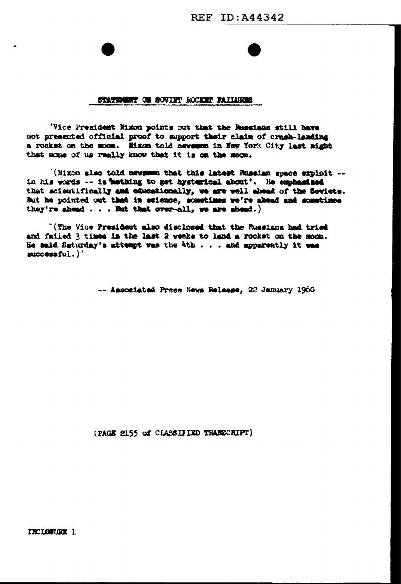## STATEMENT ON SOVIET ROCKET FAILURES

"Vice President Mixon points out that the Russians still have not presented official proof to support their claim of crash-landing a rocket on the moon. Mixon told newsman in New York City last night that none of us really know that it is on the moon.

"(Nixon also told newsman that this latest Russian space exploit -in his words -- is hathing to get hysterical about'. He emphasised that scientifically and educationally, we are well shead of the flowlets. But he pointed out that in selence, sometimes we're abend and sometimes they're shead  $\ldots$  . But that over-all, we are absed.)

"(The Vice President also disclosed that the Russians had tried and failed 3 times in the last 2 weeks to land a rocket on the moon. He said Saturday's attempt was the 4th . . . and apparently it was successful.)"

-- Associated Press News Release, 22 January 1960

(PAGE 2155 of CLASSIFIED TRANSCRIPT)